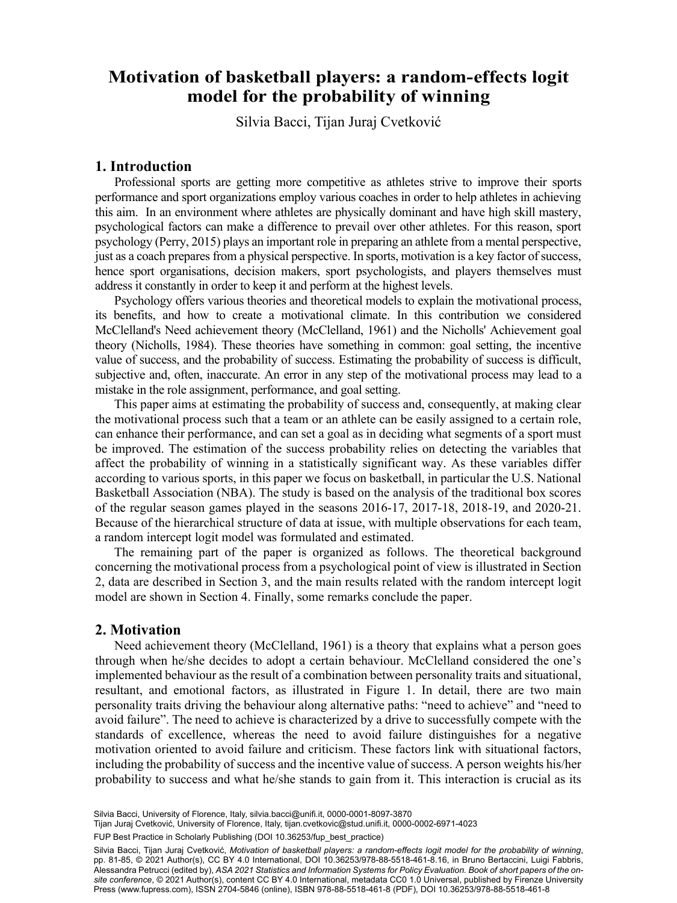# **Motivation of basketball players: a random-effects logit** ر<br>I for the probability of win model for the probability of winning

Silvia Bacci, Tijan Juraj Cvetković b Department of Neuroscience, Psychology, Drug Research and Child Health, University of

### **1. Introduction**

Professional sports are getting more competitive as athletes strive to improve their sports performance and sport organizations employ various coaches in order to help athletes in achieving this aim. In an environment where athletes are physically dominant and have high skill mastery, psychological factors can make a difference to prevail over other athletes. For this reason, sport psychology (Perry, 2015) plays an important role in preparing an athlete from a mental perspective, just as a coach prepares from a physical perspective. In sports, motivation is a key factor of success, hence sport organisations, decision makers, sport psychologists, and players themselves must address it constantly in order to keep it and perform at the highest levels.

Psychology offers various theories and theoretical models to explain the motivational process, its benefits, and how to create a motivational climate. In this contribution we considered McClelland's Need achievement theory (McClelland, 1961) and the Nicholls' Achievement goal theory (Nicholls, 1984). These theories have something in common: goal setting, the incentive value of success, and the probability of success. Estimating the probability of success is difficult, subjective and, often, inaccurate. An error in any step of the motivational process may lead to a mistake in the role assignment, performance, and goal setting.

This paper aims at estimating the probability of success and, consequently, at making clear the motivational process such that a team or an athlete can be easily assigned to a certain role, can enhance their performance, and can set a goal as in deciding what segments of a sport must be improved. The estimation of the success probability relies on detecting the variables that affect the probability of winning in a statistically significant way. As these variables differ according to various sports, in this paper we focus on basketball, in particular the U.S. National Basketball Association (NBA). The study is based on the analysis of the traditional box scores of the regular season games played in the seasons 2016-17, 2017-18, 2018-19, and 2020-21. Because of the hierarchical structure of data at issue, with multiple observations for each team, a random intercept logit model was formulated and estimated.

The remaining part of the paper is organized as follows. The theoretical background concerning the motivational process from a psychological point of view is illustrated in Section 2, data are described in Section 3, and the main results related with the random intercept logit model are shown in Section 4. Finally, some remarks conclude the paper.

## **2. Motivation**

Need achievement theory (McClelland, 1961) is a theory that explains what a person goes through when he/she decides to adopt a certain behaviour. McClelland considered the one's implemented behaviour as the result of a combination between personality traits and situational, resultant, and emotional factors, as illustrated in Figure 1. In detail, there are two main personality traits driving the behaviour along alternative paths: "need to achieve" and "need to avoid failure". The need to achieve is characterized by a drive to successfully compete with the standards of excellence, whereas the need to avoid failure distinguishes for a negative motivation oriented to avoid failure and criticism. These factors link with situational factors, including the probability of success and the incentive value of success. A person weights his/her probability to success and what he/she stands to gain from it. This interaction is crucial as its

Silvia Bacci, University of Florence, Italy, [silvia.bacci@unifi.it](mailto:silvia.bacci@unifi.it), [0000-0001-8097-3870](https://orcid.org/0000-0001-8097-3870)

69 Tijan Juraj Cvetković, University of Florence, Italy, [tijan.cvetkovic@stud.unifi.it,](mailto:tijan.cvetkovic@stud.unifi.it) [0000-0002-6971-4023](https://orcid.org/0000-0002-6971-4023)

FUP Best Practice in Scholarly Publishing (DOI [10.36253/fup\\_best\\_practice](https://doi.org/10.36253/fup_best_practice))

Silvia Bacci, Tijan Juraj Cvetković, *Motivation of basketball players: a random-effects logit model for the probability of winning*, pp. 81-85, © 2021 Author(s), [CC BY 4.0 International,](http://creativecommons.org/licenses/by/4.0/legalcode) DOI [10.36253/978-88-5518-461-8.16,](https://doi.org/10.36253/978-88-5518-461-8.16) in Bruno Bertaccini, Luigi Fabbris, Alessandra Petrucci (edited by), *ASA 2021 Statistics and Information Systems for Policy Evaluation. Book of short papers of the onsite conference*, © 2021 Author(s), content [CC BY 4.0 International](http://creativecommons.org/licenses/by/4.0/legalcode), metadata [CC0 1.0 Universal](https://creativecommons.org/publicdomain/zero/1.0/legalcode), published by Firenze University Press ([www.fupress.com\)](http://www.fupress.com), ISSN 2704-5846 (online), ISBN 978-88-5518-461-8 (PDF), DOI [10.36253/978-88-5518-461-8](https://doi.org/10.36253/978-88-5518-461-8)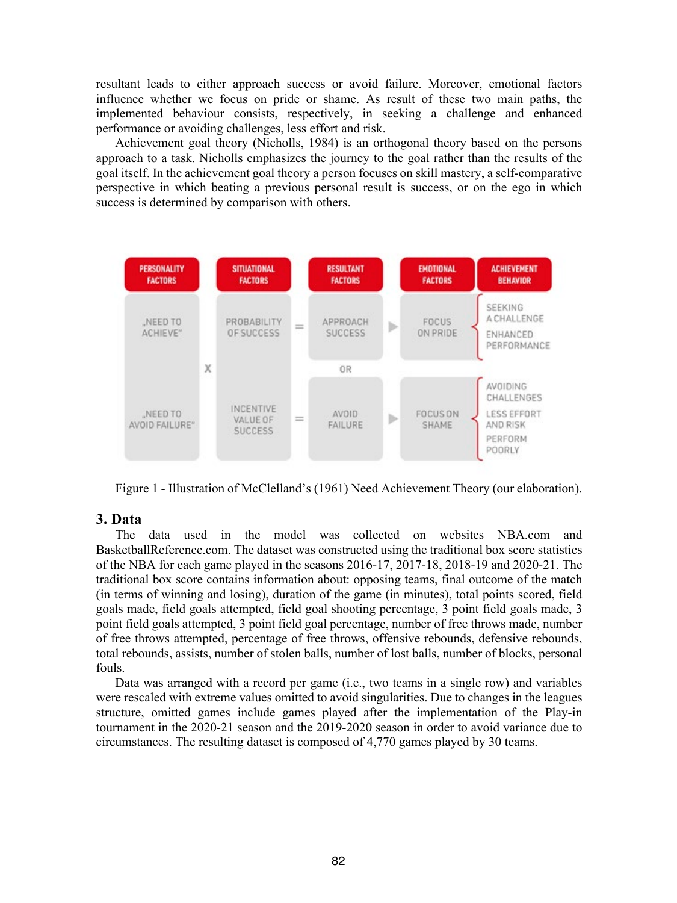resultant leads to either approach success or avoid failure. Moreover, emotional factors influence whether we focus on pride or shame. As result of these two main paths, the implemented behaviour consists, respectively, in seeking a challenge and enhanced performance or avoiding challenges, less effort and risk.

Achievement goal theory (Nicholls, 1984) is an orthogonal theory based on the persons approach to a task. Nicholls emphasizes the journey to the goal rather than the results of the goal itself. In the achievement goal theory a person focuses on skill mastery, a self-comparative perspective in which beating a previous personal result is success, or on the ego in which success is determined by comparison with others.



Figure 1 - Illustration of McClelland's (1961) Need Achievement Theory (our elaboration).

# **3. Data**

The data used in the model was collected on websites NBA.com and BasketballReference.com. The dataset was constructed using the traditional box score statistics of the NBA for each game played in the seasons 2016-17, 2017-18, 2018-19 and 2020-21. The traditional box score contains information about: opposing teams, final outcome of the match (in terms of winning and losing), duration of the game (in minutes), total points scored, field goals made, field goals attempted, field goal shooting percentage, 3 point field goals made, 3 point field goals attempted, 3 point field goal percentage, number of free throws made, number of free throws attempted, percentage of free throws, offensive rebounds, defensive rebounds, total rebounds, assists, number of stolen balls, number of lost balls, number of blocks, personal fouls.

Data was arranged with a record per game (i.e., two teams in a single row) and variables were rescaled with extreme values omitted to avoid singularities. Due to changes in the leagues structure, omitted games include games played after the implementation of the Play-in tournament in the 2020-21 season and the 2019-2020 season in order to avoid variance due to circumstances. The resulting dataset is composed of 4,770 games played by 30 teams.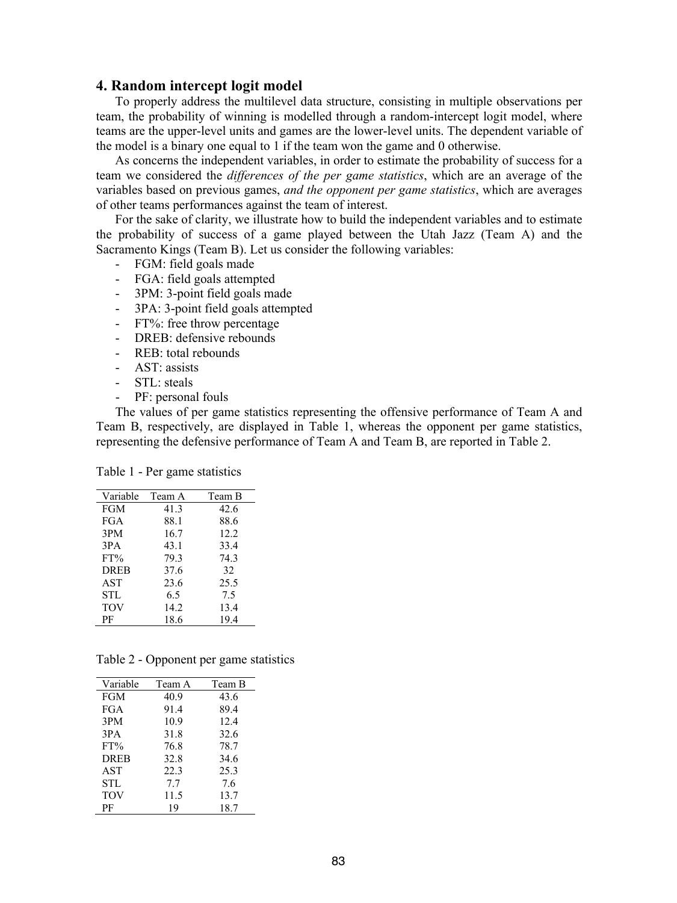### **4. Random intercept logit model**

To properly address the multilevel data structure, consisting in multiple observations per team, the probability of winning is modelled through a random-intercept logit model, where teams are the upper-level units and games are the lower-level units. The dependent variable of the model is a binary one equal to 1 if the team won the game and 0 otherwise.

As concerns the independent variables, in order to estimate the probability of success for a team we considered the *differences of the per game statistics*, which are an average of the variables based on previous games, *and the opponent per game statistics*, which are averages of other teams performances against the team of interest.

For the sake of clarity, we illustrate how to build the independent variables and to estimate the probability of success of a game played between the Utah Jazz (Team A) and the Sacramento Kings (Team B). Let us consider the following variables:

- FGM: field goals made
- FGA: field goals attempted
- 3PM: 3-point field goals made
- 3PA: 3-point field goals attempted
- FT%: free throw percentage
- DREB: defensive rebounds
- REB: total rebounds
- AST: assists
- STL: steals
- PF: personal fouls

The values of per game statistics representing the offensive performance of Team A and Team B, respectively, are displayed in Table 1, whereas the opponent per game statistics, representing the defensive performance of Team A and Team B, are reported in Table 2.

Table 1 - Per game statistics

| Variable    | Team A | Team B |
|-------------|--------|--------|
| <b>FGM</b>  | 41.3   | 42.6   |
| <b>FGA</b>  | 88.1   | 88.6   |
| 3PM         | 16.7   | 12.2   |
| 3PA         | 43.1   | 33.4   |
| $FT\%$      | 79.3   | 74.3   |
| <b>DREB</b> | 37.6   | 32     |
| AST         | 23.6   | 25.5   |
| STL         | 6.5    | 7.5    |
| <b>TOV</b>  | 14.2   | 13.4   |
| РF          | 18.6   | 19.4   |

Table 2 - Opponent per game statistics

| Variable    | Team A | Team B |
|-------------|--------|--------|
| <b>FGM</b>  | 40.9   | 43.6   |
| <b>FGA</b>  | 91.4   | 89.4   |
| 3PM         | 10.9   | 12.4   |
| 3PA         | 31.8   | 32.6   |
| $FT\%$      | 76.8   | 78.7   |
| <b>DREB</b> | 32.8   | 34.6   |
| <b>AST</b>  | 22.3   | 25.3   |
| <b>STL</b>  | 7.7    | 7.6    |
| <b>TOV</b>  | 11.5   | 13.7   |
| РF          | 19     | 18.7   |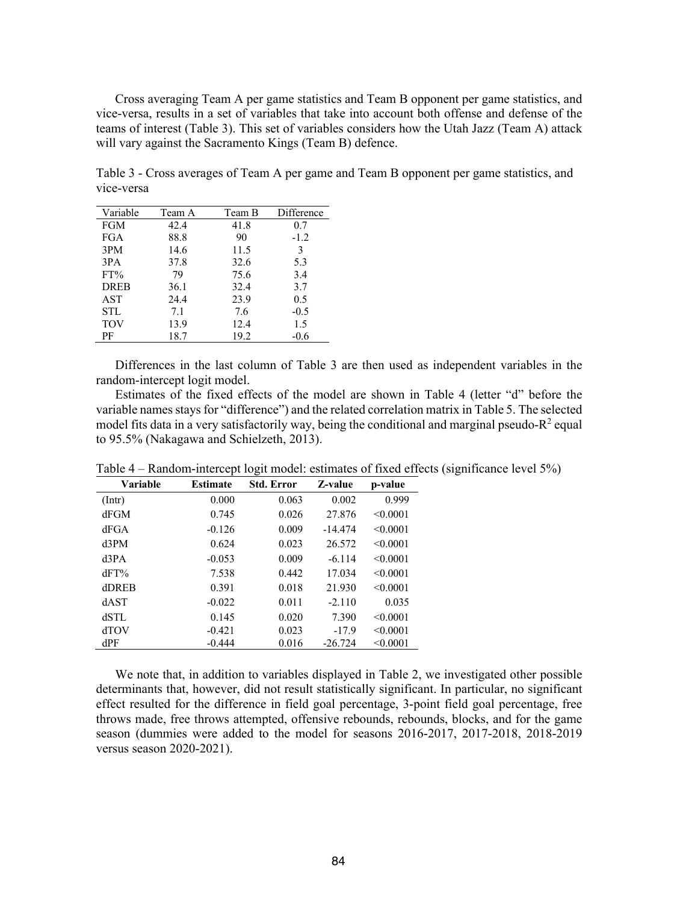Cross averaging Team A per game statistics and Team B opponent per game statistics, and vice-versa, results in a set of variables that take into account both offense and defense of the teams of interest (Table 3). This set of variables considers how the Utah Jazz (Team A) attack will vary against the Sacramento Kings (Team B) defence.

Table 3 - Cross averages of Team A per game and Team B opponent per game statistics, and vice-versa

| Variable    | Team A | Team B | Difference |
|-------------|--------|--------|------------|
| <b>FGM</b>  | 42.4   | 41.8   | 0.7        |
| FGA         | 88.8   | 90     | $-1.2$     |
| 3PM         | 14.6   | 11.5   | 3          |
| 3PA         | 37.8   | 32.6   | 5.3        |
| $FT\%$      | 79     | 75.6   | 3.4        |
| <b>DREB</b> | 36.1   | 32.4   | 3.7        |
| AST         | 24.4   | 23.9   | 0.5        |
| <b>STL</b>  | 7.1    | 7.6    | $-0.5$     |
| <b>TOV</b>  | 13.9   | 12.4   | 1.5        |
| РF          | 18.7   | 19.2   | $-0.6$     |

Differences in the last column of Table 3 are then used as independent variables in the random-intercept logit model.

Estimates of the fixed effects of the model are shown in Table 4 (letter "d" before the variable names stays for "difference") and the related correlation matrix in Table 5. The selected model fits data in a very satisfactorily way, being the conditional and marginal pseudo- $R^2$  equal to 95.5% (Nakagawa and Schielzeth, 2013).

| Variable     | <b>Estimate</b> | <b>Std. Error</b> | Z-value   | p-value  |
|--------------|-----------------|-------------------|-----------|----------|
| $($ Intr $)$ | 0.000           | 0.063             | 0.002     | 0.999    |
| dFGM         | 0.745           | 0.026             | 27.876    | < 0.0001 |
| dFGA         | $-0.126$        | 0.009             | $-14.474$ | < 0.0001 |
| d3PM         | 0.624           | 0.023             | 26.572    | < 0.0001 |
| d3PA         | $-0.053$        | 0.009             | $-6.114$  | < 0.0001 |
| dFT%         | 7.538           | 0.442             | 17.034    | < 0.0001 |
| dDREB        | 0.391           | 0.018             | 21.930    | < 0.0001 |
| dAST         | $-0.022$        | 0.011             | $-2.110$  | 0.035    |
| dSTL         | 0.145           | 0.020             | 7.390     | < 0.0001 |
| <b>dTOV</b>  | $-0.421$        | 0.023             | $-17.9$   | < 0.0001 |
| dPF          | $-0.444$        | 0.016             | $-26.724$ | < 0.0001 |

Table 4 – Random-intercept logit model: estimates of fixed effects (significance level 5%)

We note that, in addition to variables displayed in Table 2, we investigated other possible determinants that, however, did not result statistically significant. In particular, no significant effect resulted for the difference in field goal percentage, 3-point field goal percentage, free throws made, free throws attempted, offensive rebounds, rebounds, blocks, and for the game season (dummies were added to the model for seasons 2016-2017, 2017-2018, 2018-2019 versus season 2020-2021).